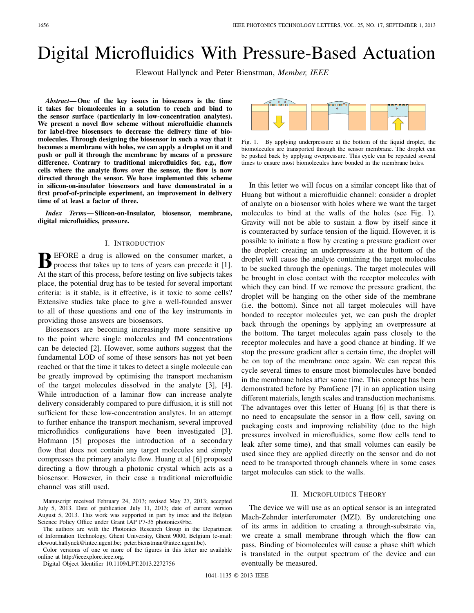# Digital Microfluidics With Pressure-Based Actuation

Elewout Hallynck and Peter Bienstman, *Member, IEEE*

*Abstract***— One of the key issues in biosensors is the time it takes for biomolecules in a solution to reach and bind to the sensor surface (particularly in low-concentration analytes). We present a novel flow scheme without microfluidic channels for label-free biosensors to decrease the delivery time of biomolecules. Through designing the biosensor in such a way that it becomes a membrane with holes, we can apply a droplet on it and push or pull it through the membrane by means of a pressure difference. Contrary to traditional microfluidics for, e.g., flow cells where the analyte flows over the sensor, the flow is now directed through the sensor. We have implemented this scheme in silicon-on-insulator biosensors and have demonstrated in a first proof-of-principle experiment, an improvement in delivery time of at least a factor of three.**

*Index Terms***— Silicon-on-Insulator, biosensor, membrane, digital microfluidics, pressure.**

## I. INTRODUCTION

**B**EFORE a drug is allowed on the consumer market, a<br>process that takes up to tens of years can precede it [1]. At the start of this process, before testing on live subjects takes place, the potential drug has to be tested for several important criteria: is it stable, is it effective, is it toxic to some cells? Extensive studies take place to give a well-founded answer to all of these questions and one of the key instruments in providing those answers are biosensors.

Biosensors are becoming increasingly more sensitive up to the point where single molecules and fM concentrations can be detected [2]. However, some authors suggest that the fundamental LOD of some of these sensors has not yet been reached or that the time it takes to detect a single molecule can be greatly improved by optimising the transport mechanism of the target molecules dissolved in the analyte [3], [4]. While introduction of a laminar flow can increase analyte delivery considerably compared to pure diffusion, it is still not sufficient for these low-concentration analytes. In an attempt to further enhance the transport mechanism, several improved microfluidics configurations have been investigated [3]. Hofmann [5] proposes the introduction of a secondary flow that does not contain any target molecules and simply compresses the primary analyte flow. Huang et al [6] proposed directing a flow through a photonic crystal which acts as a biosensor. However, in their case a traditional microfluidic channel was still used.

Manuscript received February 24, 2013; revised May 27, 2013; accepted July 5, 2013. Date of publication July 11, 2013; date of current version August 5, 2013. This work was supported in part by imec and the Belgian Science Policy Office under Grant IAP P7-35 photonics@be.

The authors are with the Photonics Research Group in the Department of Information Technology, Ghent University, Ghent 9000, Belgium (e-mail: elewout.hallynck@intec.ugent.be; peter.bienstman@intec.ugent.be).

Color versions of one or more of the figures in this letter are available online at http://ieeexplore.ieee.org.

Digital Object Identifier 10.1109/LPT.2013.2272756



Fig. 1. By applying underpressure at the bottom of the liquid droplet, the biomolecules are transported through the sensor membrane. The droplet can be pushed back by applying overpressure. This cycle can be repeated several times to ensure most biomolecules have bonded in the membrane holes.

In this letter we will focus on a similar concept like that of Huang but without a microfluidic channel: consider a droplet of analyte on a biosensor with holes where we want the target molecules to bind at the walls of the holes (see Fig. 1). Gravity will not be able to sustain a flow by itself since it is counteracted by surface tension of the liquid. However, it is possible to initiate a flow by creating a pressure gradient over the droplet: creating an underpressure at the bottom of the droplet will cause the analyte containing the target molecules to be sucked through the openings. The target molecules will be brought in close contact with the receptor molecules with which they can bind. If we remove the pressure gradient, the droplet will be hanging on the other side of the membrane (i.e. the bottom). Since not all target molecules will have bonded to receptor molecules yet, we can push the droplet back through the openings by applying an overpressure at the bottom. The target molecules again pass closely to the receptor molecules and have a good chance at binding. If we stop the pressure gradient after a certain time, the droplet will be on top of the membrane once again. We can repeat this cycle several times to ensure most biomolecules have bonded in the membrane holes after some time. This concept has been demonstrated before by PamGene [7] in an application using different materials, length scales and transduction mechanisms. The advantages over this letter of Huang [6] is that there is no need to encapsulate the sensor in a flow cell, saving on packaging costs and improving reliability (due to the high pressures involved in microfluidics, some flow cells tend to leak after some time), and that small volumes can easily be used since they are applied directly on the sensor and do not need to be transported through channels where in some cases target molecules can stick to the walls.

## II. MICROFLUIDICS THEORY

The device we will use as an optical sensor is an integrated Mach-Zehnder interferometer (MZI). By underetching one of its arms in addition to creating a through-substrate via, we create a small membrane through which the flow can pass. Binding of biomolecules will cause a phase shift which is translated in the output spectrum of the device and can eventually be measured.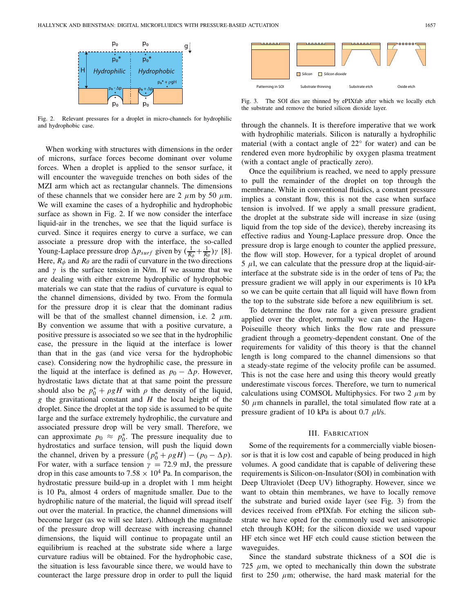

Fig. 2. Relevant pressures for a droplet in micro-channels for hydrophilic and hydrophobic case.

When working with structures with dimensions in the order of microns, surface forces become dominant over volume forces. When a droplet is applied to the sensor surface, it will encounter the waveguide trenches on both sides of the MZI arm which act as rectangular channels. The dimensions of these channels that we consider here are 2  $\mu$ m by 50  $\mu$ m. We will examine the cases of a hydrophilic and hydrophobic surface as shown in Fig. 2. If we now consider the interface liquid-air in the trenches, we see that the liquid surface is curved. Since it requires energy to curve a surface, we can associate a pressure drop with the interface, the so-called Young-Laplace pressure drop  $\Delta p_{surf}$  given by  $(\frac{1}{R_{\phi}} + \frac{1}{R_{\theta}})\gamma$  [8]. Here,  $R_{\phi}$  and  $R_{\theta}$  are the radii of curvature in the two directions and  $\gamma$  is the surface tension in N/m. If we assume that we are dealing with either extreme hydrophilic of hydrophobic materials we can state that the radius of curvature is equal to the channel dimensions, divided by two. From the formula for the pressure drop it is clear that the dominant radius will be that of the smallest channel dimension, i.e.  $2 \mu m$ . By convention we assume that with a positive curvature, a positive pressure is associated so we see that in the hydrophilic case, the pressure in the liquid at the interface is lower than that in the gas (and vice versa for the hydrophobic case). Considering now the hydrophilic case, the pressure in the liquid at the interface is defined as  $p_0 - \Delta p$ . However, hydrostatic laws dictate that at that same point the pressure should also be  $p_0^* + \rho g H$  with  $\rho$  the density of the liquid, *g* the gravitational constant and *H* the local height of the droplet. Since the droplet at the top side is assumed to be quite large and the surface extremely hydrophilic, the curvature and associated pressure drop will be very small. Therefore, we can approximate  $p_0 \approx p_0^*$ . The pressure inequality due to hydrostatics and surface tension, will push the liquid down the channel, driven by a pressure  $(p_0^* + \rho g H) - (p_0 - \Delta p)$ . For water, with a surface tension  $\gamma = 72.9$  mJ, the pressure drop in this case amounts to 7.58  $\times$  10<sup>4</sup> Pa. In comparison, the hydrostatic pressure build-up in a droplet with 1 mm height is 10 Pa, almost 4 orders of magnitude smaller. Due to the hydrophilic nature of the material, the liquid will spread itself out over the material. In practice, the channel dimensions will become larger (as we will see later). Although the magnitude of the pressure drop will decrease with increasing channel dimensions, the liquid will continue to propagate until an equilibrium is reached at the substrate side where a large curvature radius will be obtained. For the hydrophobic case, the situation is less favourable since there, we would have to counteract the large pressure drop in order to pull the liquid



Fig. 3. The SOI dies are thinned by ePIXfab after which we locally etch the substrate and remove the buried silicon dioxide layer.

through the channels. It is therefore imperative that we work with hydrophilic materials. Silicon is naturally a hydrophilic material (with a contact angle of 22° for water) and can be rendered even more hydrophilic by oxygen plasma treatment (with a contact angle of practically zero).

Once the equilibrium is reached, we need to apply pressure to pull the remainder of the droplet on top through the membrane. While in conventional fluidics, a constant pressure implies a constant flow, this is not the case when surface tension is involved. If we apply a small pressure gradient, the droplet at the substrate side will increase in size (using liquid from the top side of the device), thereby increasing its effective radius and Young-Laplace pressure drop. Once the pressure drop is large enough to counter the applied pressure, the flow will stop. However, for a typical droplet of around  $5 \mu l$ , we can calculate that the pressure drop at the liquid-airinterface at the substrate side is in the order of tens of Pa; the pressure gradient we will apply in our experiments is 10 kPa so we can be quite certain that all liquid will have flown from the top to the substrate side before a new equilibrium is set.

To determine the flow rate for a given pressure gradient applied over the droplet, normally we can use the Hagen-Poiseuille theory which links the flow rate and pressure gradient through a geometry-dependent constant. One of the requirements for validity of this theory is that the channel length is long compared to the channel dimensions so that a steady-state regime of the velocity profile can be assumed. This is not the case here and using this theory would greatly underestimate viscous forces. Therefore, we turn to numerical calculations using COMSOL Multiphysics. For two 2  $\mu$ m by 50  $\mu$ m channels in parallel, the total simulated flow rate at a pressure gradient of 10 kPa is about 0.7  $\mu$ l/s.

## III. FABRICATION

Some of the requirements for a commercially viable biosensor is that it is low cost and capable of being produced in high volumes. A good candidate that is capable of delivering these requirements is Silicon-on-Insulator (SOI) in combination with Deep Ultraviolet (Deep UV) lithography. However, since we want to obtain thin membranes, we have to locally remove the substrate and buried oxide layer (see Fig. 3) from the devices received from ePIXfab. For etching the silicon substrate we have opted for the commonly used wet anisotropic etch through KOH; for the silicon dioxide we used vapour HF etch since wet HF etch could cause stiction between the waveguides.

Since the standard substrate thickness of a SOI die is 725  $\mu$ m, we opted to mechanically thin down the substrate first to 250  $\mu$ m; otherwise, the hard mask material for the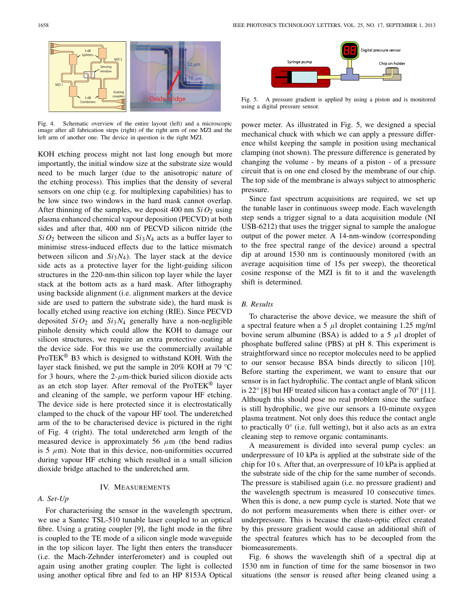

Fig. 4. Schematic overview of the entire layout (left) and a microscopic image after all fabrication steps (right) of the right arm of one MZI and the left arm of another one. The device in question is the right MZI.

KOH etching process might not last long enough but more importantly, the initial window size at the substrate size would need to be much larger (due to the anisotropic nature of the etching process). This implies that the density of several sensors on one chip (e.g. for multiplexing capabilities) has to be low since two windows in the hard mask cannot overlap. After thinning of the samples, we deposit 400 nm  $Si O<sub>2</sub>$  using plasma enhanced chemical vapour deposition (PECVD) at both sides and after that, 400 nm of PECVD silicon nitride (the  $Si O_2$  between the silicon and  $Si<sub>3</sub>N<sub>4</sub>$  acts as a buffer layer to minimise stress-induced effects due to the lattice mismatch between silicon and  $Si<sub>3</sub>N<sub>4</sub>$ ). The layer stack at the device side acts as a protective layer for the light-guiding silicon structures in the 220-nm-thin silicon top layer while the layer stack at the bottom acts as a hard mask. After lithography using backside alignment (i.e. alignment markers at the device side are used to pattern the substrate side), the hard mask is locally etched using reactive ion etching (RIE). Since PECVD deposited  $Si O_2$  and  $Si_3N_4$  generally have a non-negligible pinhole density which could allow the KOH to damage our silicon structures, we require an extra protective coating at the device side. For this we use the commercially available ProTEK® B3 which is designed to withstand KOH. With the layer stack finished, we put the sample in 20% KOH at 79 °C for 3 hours, where the  $2-\mu$ m-thick buried silicon dioxide acts as an etch stop layer. After removal of the ProTEK<sup>®</sup> layer and cleaning of the sample, we perform vapour HF etching. The device side is here protected since it is electrostatically clamped to the chuck of the vapour HF tool. The underetched arm of the to be characterised device is pictured in the right of Fig. 4 (right). The total underetched arm length of the measured device is approximately 56  $\mu$ m (the bend radius is 5  $\mu$ m). Note that in this device, non-uniformities occurred during vapour HF etching which resulted in a small silicion dioxide bridge attached to the underetched arm.

#### IV. MEASUREMENTS

## *A. Set-Up*

For characterising the sensor in the wavelength spectrum, we use a Santec TSL-510 tunable laser coupled to an optical fibre. Using a grating coupler [9], the light mode in the fibre is coupled to the TE mode of a silicon single mode waveguide in the top silicon layer. The light then enters the transducer (i.e. the Mach-Zehnder interferometer) and is coupled out again using another grating coupler. The light is collected using another optical fibre and fed to an HP 8153A Optical



Fig. 5. A pressure gradient is applied by using a piston and is monitored using a digital pressure sensor.

power meter. As illustrated in Fig. 5, we designed a special mechanical chuck with which we can apply a pressure difference whilst keeping the sample in position using mechanical clamping (not shown). The pressure difference is generated by changing the volume - by means of a piston - of a pressure circuit that is on one end closed by the membrane of our chip. The top side of the membrane is always subject to atmospheric pressure.

Since fast spectrum acquisitions are required, we set up the tunable laser in continuous sweep mode. Each wavelength step sends a trigger signal to a data acquisition module (NI USB-6212) that uses the trigger signal to sample the analogue output of the power meter. A 14-nm-window (corresponding to the free spectral range of the device) around a spectral dip at around 1530 nm is continuously monitored (with an average acquisition time of 15s per sweep), the theoretical cosine response of the MZI is fit to it and the wavelength shift is determined.

### *B. Results*

To characterise the above device, we measure the shift of a spectral feature when a 5  $\mu$ l droplet containing 1.25 mg/ml bovine serum albumine (BSA) is added to a 5  $\mu$ l droplet of phosphate buffered saline (PBS) at pH 8. This experiment is straightforward since no receptor molecules need to be applied to our sensor because BSA binds directly to silicon [10]. Before starting the experiment, we want to ensure that our sensor is in fact hydrophilic. The contact angle of blank silicon is 22° [8] but HF treated silicon has a contact angle of 70° [11]. Although this should pose no real problem since the surface is still hydrophilic, we give our sensors a 10-minute oxygen plasma treatment. Not only does this reduce the contact angle to practically  $0^{\circ}$  (i.e. full wetting), but it also acts as an extra cleaning step to remove organic contaminants.

A measurement is divided into several pump cycles: an underpressure of 10 kPa is applied at the substrate side of the chip for 10 s. After that, an overpressure of 10 kPa is applied at the substrate side of the chip for the same number of seconds. The pressure is stabilised again (i.e. no pressure gradient) and the wavelength spectrum is measured 10 consecutive times. When this is done, a new pump cycle is started. Note that we do not perform measurements when there is either over- or underpressure. This is because the elasto-optic effect created by this pressure gradient would cause an additional shift of the spectral features which has to be decoupled from the biomeasurements.

Fig. 6 shows the wavelength shift of a spectral dip at 1530 nm in function of time for the same biosensor in two situations (the sensor is reused after being cleaned using a